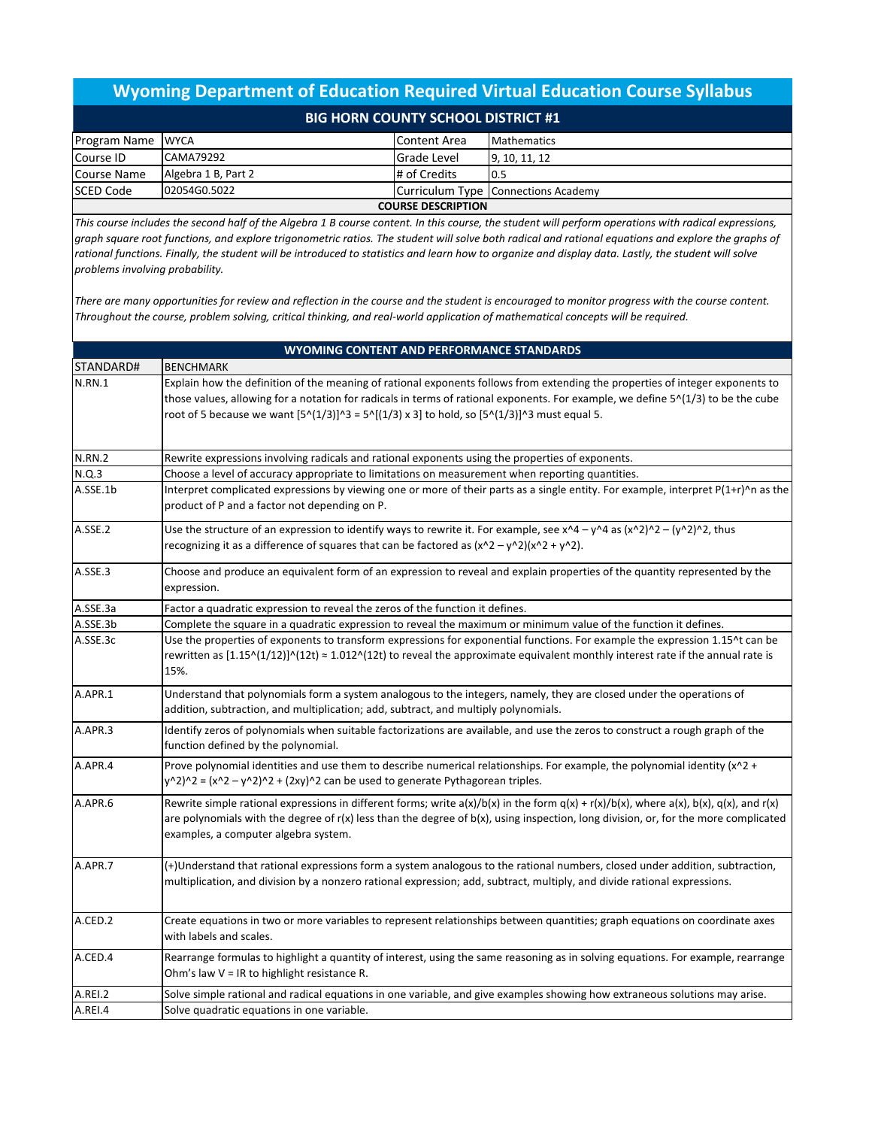## **Wyoming Department of Education Required Virtual Education Course Syllabus BIG HORN COUNTY SCHOOL DISTRICT #1**

| <b>Program Name WYCA</b>  |                     | l Content Area | <b>Mathematics</b>                  |  |  |
|---------------------------|---------------------|----------------|-------------------------------------|--|--|
| Course ID                 | CAMA79292           | Grade Level    | 9, 10, 11, 12                       |  |  |
| Course Name               | Algebra 1 B, Part 2 | # of Credits   | 0.5                                 |  |  |
| <b>SCED Code</b>          | 02054G0.5022        |                | Curriculum Type Connections Academy |  |  |
| <b>COURSE DESCRIPTION</b> |                     |                |                                     |  |  |

*This course includes the second half of the Algebra 1 B course content. In this course, the student will perform operations with radical expressions, graph square root functions, and explore trigonometric ratios. The student will solve both radical and rational equations and explore the graphs of*  rational functions. Finally, the student will be introduced to statistics and learn how to organize and display data. Lastly, the student will solve *problems involving probability.*

*There are many opportunities for review and reflection in the course and the student is encouraged to monitor progress with the course content. Throughout the course, problem solving, critical thinking, and real-world application of mathematical concepts will be required.*

| <b>WYOMING CONTENT AND PERFORMANCE STANDARDS</b> |                                                                                                                                                                                                                                                                                                                                                                           |  |  |  |
|--------------------------------------------------|---------------------------------------------------------------------------------------------------------------------------------------------------------------------------------------------------------------------------------------------------------------------------------------------------------------------------------------------------------------------------|--|--|--|
| STANDARD#                                        | <b>BENCHMARK</b>                                                                                                                                                                                                                                                                                                                                                          |  |  |  |
| <b>N.RN.1</b>                                    | Explain how the definition of the meaning of rational exponents follows from extending the properties of integer exponents to<br>those values, allowing for a notation for radicals in terms of rational exponents. For example, we define 5^(1/3) to be the cube<br>root of 5 because we want $[5^(1/3)]^3 = 5^[(1/3) \times 3]$ to hold, so $[5^(1/3)]^3$ must equal 5. |  |  |  |
| <b>N.RN.2</b>                                    | Rewrite expressions involving radicals and rational exponents using the properties of exponents.                                                                                                                                                                                                                                                                          |  |  |  |
| N.Q.3                                            | Choose a level of accuracy appropriate to limitations on measurement when reporting quantities.                                                                                                                                                                                                                                                                           |  |  |  |
| A.SSE.1b                                         | Interpret complicated expressions by viewing one or more of their parts as a single entity. For example, interpret P(1+r)^n as the<br>product of P and a factor not depending on P.                                                                                                                                                                                       |  |  |  |
| A.SSE.2                                          | Use the structure of an expression to identify ways to rewrite it. For example, see x^4 - y^4 as $(x \wedge 2) \wedge 2 - (y \wedge 2) \wedge 2$ , thus<br>recognizing it as a difference of squares that can be factored as $(x^2 - y^2)(x^2 + y^2)$ .                                                                                                                   |  |  |  |
| A.SSE.3                                          | Choose and produce an equivalent form of an expression to reveal and explain properties of the quantity represented by the<br>expression.                                                                                                                                                                                                                                 |  |  |  |
| A.SSE.3a                                         | Factor a quadratic expression to reveal the zeros of the function it defines.                                                                                                                                                                                                                                                                                             |  |  |  |
| A.SSE.3b                                         | Complete the square in a quadratic expression to reveal the maximum or minimum value of the function it defines.                                                                                                                                                                                                                                                          |  |  |  |
| A.SSE.3c                                         | Use the properties of exponents to transform expressions for exponential functions. For example the expression 1.15^t can be<br>rewritten as $[1.15 \cdot (1/12)] \cdot (12t) \approx 1.012 \cdot (12t)$ to reveal the approximate equivalent monthly interest rate if the annual rate is<br>15%.                                                                         |  |  |  |
| A.APR.1                                          | Understand that polynomials form a system analogous to the integers, namely, they are closed under the operations of<br>addition, subtraction, and multiplication; add, subtract, and multiply polynomials.                                                                                                                                                               |  |  |  |
| A.APR.3                                          | Identify zeros of polynomials when suitable factorizations are available, and use the zeros to construct a rough graph of the<br>function defined by the polynomial.                                                                                                                                                                                                      |  |  |  |
| A.APR.4                                          | Prove polynomial identities and use them to describe numerical relationships. For example, the polynomial identity (x^2 +<br>$y^2$ )^2 = $(x^2 - y^2)^2 + (2xy)^2$ can be used to generate Pythagorean triples.                                                                                                                                                           |  |  |  |
| A.APR.6                                          | Rewrite simple rational expressions in different forms; write $a(x)/b(x)$ in the form $q(x) + r(x)/b(x)$ , where $a(x)$ , $b(x)$ , $q(x)$ , and $r(x)$<br>are polynomials with the degree of r(x) less than the degree of b(x), using inspection, long division, or, for the more complicated<br>examples, a computer algebra system.                                     |  |  |  |
| A.APR.7                                          | (+)Understand that rational expressions form a system analogous to the rational numbers, closed under addition, subtraction,<br>multiplication, and division by a nonzero rational expression; add, subtract, multiply, and divide rational expressions.                                                                                                                  |  |  |  |
| A.CED.2                                          | Create equations in two or more variables to represent relationships between quantities; graph equations on coordinate axes<br>with labels and scales.                                                                                                                                                                                                                    |  |  |  |
| A.CED.4                                          | Rearrange formulas to highlight a quantity of interest, using the same reasoning as in solving equations. For example, rearrange<br>Ohm's law $V = IR$ to highlight resistance R.                                                                                                                                                                                         |  |  |  |
| A.REI.2                                          | Solve simple rational and radical equations in one variable, and give examples showing how extraneous solutions may arise.                                                                                                                                                                                                                                                |  |  |  |
| A.REI.4                                          | Solve quadratic equations in one variable.                                                                                                                                                                                                                                                                                                                                |  |  |  |
|                                                  |                                                                                                                                                                                                                                                                                                                                                                           |  |  |  |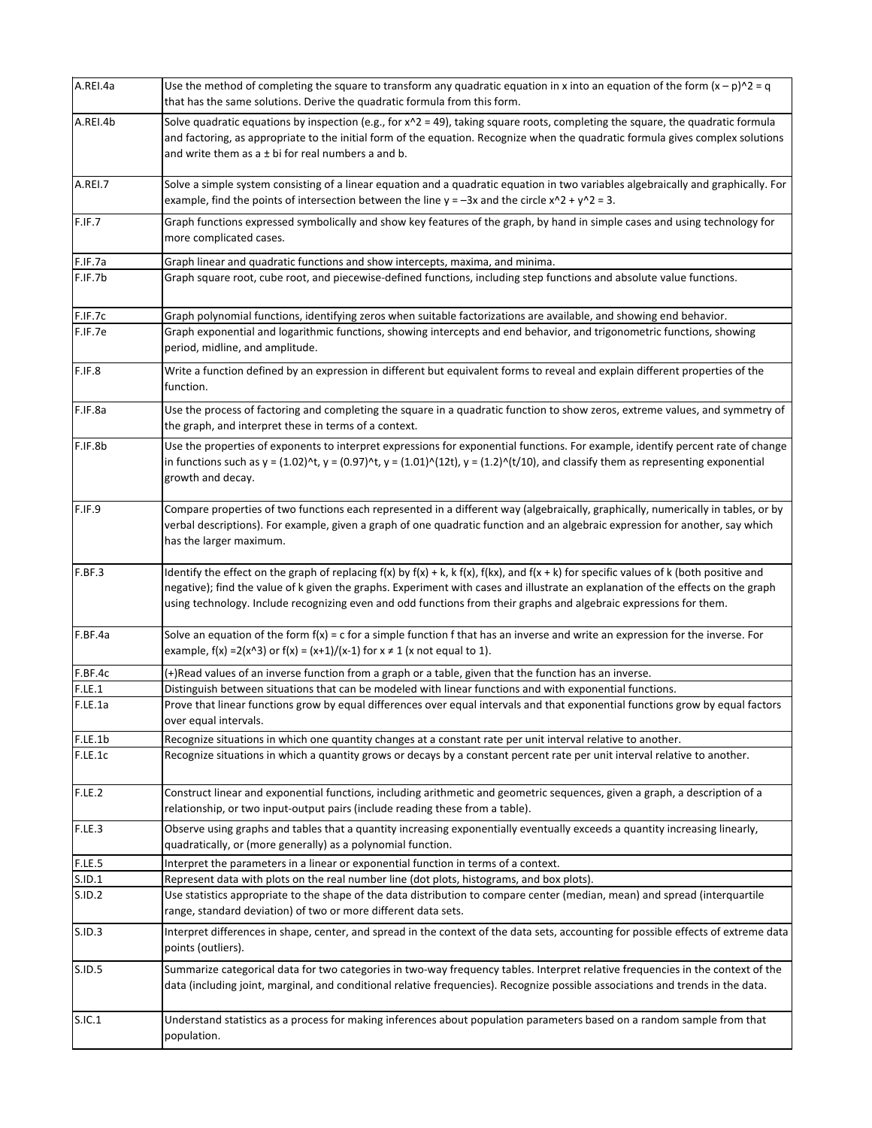| A.REI.4a | Use the method of completing the square to transform any quadratic equation in x into an equation of the form $(x - p)^2$ = q<br>that has the same solutions. Derive the quadratic formula from this form.                                                                                                                                                                                                     |  |  |  |  |
|----------|----------------------------------------------------------------------------------------------------------------------------------------------------------------------------------------------------------------------------------------------------------------------------------------------------------------------------------------------------------------------------------------------------------------|--|--|--|--|
| A.REI.4b | Solve quadratic equations by inspection (e.g., for $x^2 = 49$ ), taking square roots, completing the square, the quadratic formula<br>and factoring, as appropriate to the initial form of the equation. Recognize when the quadratic formula gives complex solutions<br>and write them as $a \pm bi$ for real numbers a and b.                                                                                |  |  |  |  |
| A.REI.7  | Solve a simple system consisting of a linear equation and a quadratic equation in two variables algebraically and graphically. For<br>example, find the points of intersection between the line $y = -3x$ and the circle $x^2 + y^2 = 3$ .                                                                                                                                                                     |  |  |  |  |
| F.IF.7   | Graph functions expressed symbolically and show key features of the graph, by hand in simple cases and using technology for<br>more complicated cases.                                                                                                                                                                                                                                                         |  |  |  |  |
| F.IF.7a  | Graph linear and quadratic functions and show intercepts, maxima, and minima.                                                                                                                                                                                                                                                                                                                                  |  |  |  |  |
| F.IF.7b  | Graph square root, cube root, and piecewise-defined functions, including step functions and absolute value functions.                                                                                                                                                                                                                                                                                          |  |  |  |  |
| F.IF.7c  | Graph polynomial functions, identifying zeros when suitable factorizations are available, and showing end behavior.                                                                                                                                                                                                                                                                                            |  |  |  |  |
| F.IF.7e  | Graph exponential and logarithmic functions, showing intercepts and end behavior, and trigonometric functions, showing<br>period, midline, and amplitude.                                                                                                                                                                                                                                                      |  |  |  |  |
| F.IF.8   | Write a function defined by an expression in different but equivalent forms to reveal and explain different properties of the<br>function.                                                                                                                                                                                                                                                                     |  |  |  |  |
| F.IF.8a  | Use the process of factoring and completing the square in a quadratic function to show zeros, extreme values, and symmetry of<br>the graph, and interpret these in terms of a context.                                                                                                                                                                                                                         |  |  |  |  |
| F.IF.8b  | Use the properties of exponents to interpret expressions for exponential functions. For example, identify percent rate of change<br>in functions such as $y = (1.02)^{n}t$ , $y = (0.97)^{n}t$ , $y = (1.01)^{n}(12t)$ , $y = (1.2)^{n}(t/10)$ , and classify them as representing exponential<br>growth and decay.                                                                                            |  |  |  |  |
| F.IF.9   | Compare properties of two functions each represented in a different way (algebraically, graphically, numerically in tables, or by<br>verbal descriptions). For example, given a graph of one quadratic function and an algebraic expression for another, say which<br>has the larger maximum.                                                                                                                  |  |  |  |  |
| F.BF.3   | Identify the effect on the graph of replacing $f(x)$ by $f(x) + k$ , k $f(x)$ , $f(kx)$ , and $f(x + k)$ for specific values of k (both positive and<br>negative); find the value of k given the graphs. Experiment with cases and illustrate an explanation of the effects on the graph<br>using technology. Include recognizing even and odd functions from their graphs and algebraic expressions for them. |  |  |  |  |
| F.BF.4a  | Solve an equation of the form $f(x) = c$ for a simple function $f$ that has an inverse and write an expression for the inverse. For<br>example, $f(x) = 2(x^2 - 3)$ or $f(x) = (x+1)/(x-1)$ for $x \ne 1$ (x not equal to 1).                                                                                                                                                                                  |  |  |  |  |
| F.BF.4c  | (+)Read values of an inverse function from a graph or a table, given that the function has an inverse.                                                                                                                                                                                                                                                                                                         |  |  |  |  |
| F.LE.1   | Distinguish between situations that can be modeled with linear functions and with exponential functions.                                                                                                                                                                                                                                                                                                       |  |  |  |  |
| F.LE.1a  | Prove that linear functions grow by equal differences over equal intervals and that exponential functions grow by equal factors<br>over equal intervals.                                                                                                                                                                                                                                                       |  |  |  |  |
| F.LE.1b  | Recognize situations in which one quantity changes at a constant rate per unit interval relative to another.                                                                                                                                                                                                                                                                                                   |  |  |  |  |
| F.LE.1c  | Recognize situations in which a quantity grows or decays by a constant percent rate per unit interval relative to another.                                                                                                                                                                                                                                                                                     |  |  |  |  |
| F.LE.2   | Construct linear and exponential functions, including arithmetic and geometric sequences, given a graph, a description of a<br>relationship, or two input-output pairs (include reading these from a table).                                                                                                                                                                                                   |  |  |  |  |
| F.LE.3   | Observe using graphs and tables that a quantity increasing exponentially eventually exceeds a quantity increasing linearly,<br>quadratically, or (more generally) as a polynomial function.                                                                                                                                                                                                                    |  |  |  |  |
| F.LE.5   | Interpret the parameters in a linear or exponential function in terms of a context.                                                                                                                                                                                                                                                                                                                            |  |  |  |  |
| S.ID.1   | Represent data with plots on the real number line (dot plots, histograms, and box plots).                                                                                                                                                                                                                                                                                                                      |  |  |  |  |
| S.ID.2   | Use statistics appropriate to the shape of the data distribution to compare center (median, mean) and spread (interquartile<br>range, standard deviation) of two or more different data sets.                                                                                                                                                                                                                  |  |  |  |  |
| S.ID.3   | Interpret differences in shape, center, and spread in the context of the data sets, accounting for possible effects of extreme data<br>points (outliers).                                                                                                                                                                                                                                                      |  |  |  |  |
| S.ID.5   | Summarize categorical data for two categories in two-way frequency tables. Interpret relative frequencies in the context of the<br>data (including joint, marginal, and conditional relative frequencies). Recognize possible associations and trends in the data.                                                                                                                                             |  |  |  |  |
| S.IC.1   | Understand statistics as a process for making inferences about population parameters based on a random sample from that<br>population.                                                                                                                                                                                                                                                                         |  |  |  |  |